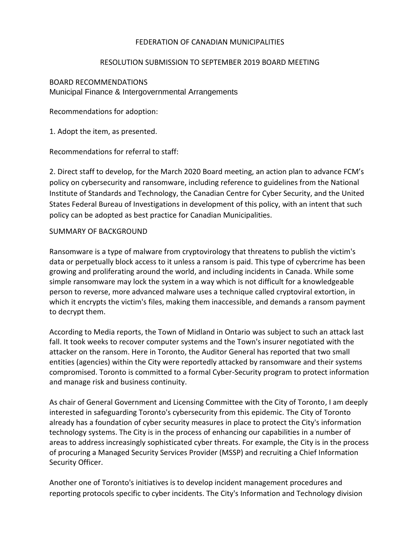## FEDERATION OF CANADIAN MUNICIPALITIES

## RESOLUTION SUBMISSION TO SEPTEMBER 2019 BOARD MEETING

## BOARD RECOMMENDATIONS Municipal Finance & Intergovernmental Arrangements

Recommendations for adoption:

1. Adopt the item, as presented.

Recommendations for referral to staff:

2. Direct staff to develop, for the March 2020 Board meeting, an action plan to advance FCM's policy on cybersecurity and ransomware, including reference to guidelines from the National Institute of Standards and Technology, the Canadian Centre for Cyber Security, and the United States Federal Bureau of Investigations in development of this policy, with an intent that such policy can be adopted as best practice for Canadian Municipalities.

## SUMMARY OF BACKGROUND

Ransomware is a type of malware from cryptovirology that threatens to publish the victim's data or perpetually block access to it unless a ransom is paid. This type of cybercrime has been growing and proliferating around the world, and including incidents in Canada. While some simple ransomware may lock the system in a way which is not difficult for a knowledgeable person to reverse, more advanced malware uses a technique called cryptoviral extortion, in which it encrypts the victim's files, making them inaccessible, and demands a ransom payment to decrypt them.

According to Media reports, the Town of Midland in Ontario was subject to such an attack last fall. It took weeks to recover computer systems and the Town's insurer negotiated with the attacker on the ransom. Here in Toronto, the Auditor General has reported that two small entities (agencies) within the City were reportedly attacked by ransomware and their systems compromised. Toronto is committed to a formal Cyber-Security program to protect information and manage risk and business continuity.

As chair of General Government and Licensing Committee with the City of Toronto, I am deeply interested in safeguarding Toronto's cybersecurity from this epidemic. The City of Toronto already has a foundation of cyber security measures in place to protect the City's information technology systems. The City is in the process of enhancing our capabilities in a number of areas to address increasingly sophisticated cyber threats. For example, the City is in the process of procuring a Managed Security Services Provider (MSSP) and recruiting a Chief Information Security Officer.

Another one of Toronto's initiatives is to develop incident management procedures and reporting protocols specific to cyber incidents. The City's Information and Technology division